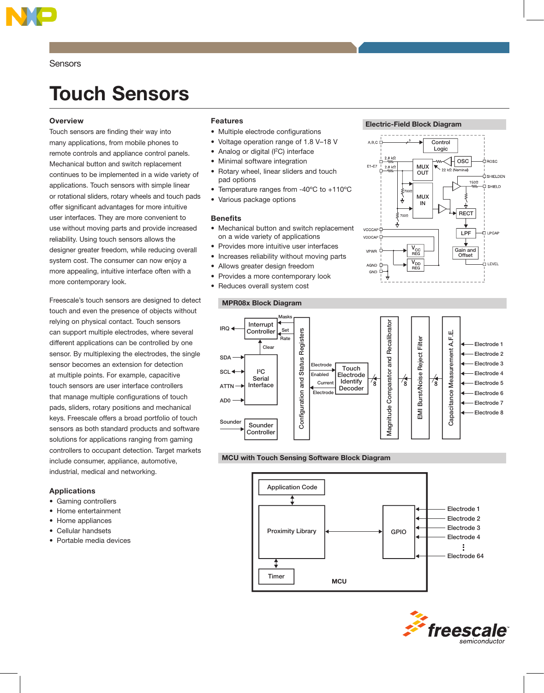

**Sensors** 

# Touch Sensors

# **Overview**

Touch sensors are finding their way into many applications, from mobile phones to remote controls and appliance control panels. Mechanical button and switch replacement continues to be implemented in a wide variety of applications. Touch sensors with simple linear or rotational sliders, rotary wheels and touch pads offer significant advantages for more intuitive user interfaces. They are more convenient to use without moving parts and provide increased reliability. Using touch sensors allows the designer greater freedom, while reducing overall system cost. The consumer can now enjoy a more appealing, intuitive interface often with a more contemporary look.

Freescale's touch sensors are designed to detect touch and even the presence of objects without relying on physical contact. Touch sensors can support multiple electrodes, where several different applications can be controlled by one sensor. By multiplexing the electrodes, the single sensor becomes an extension for detection at multiple points. For example, capacitive touch sensors are user interface controllers that manage multiple configurations of touch pads, sliders, rotary positions and mechanical keys. Freescale offers a broad portfolio of touch sensors as both standard products and software solutions for applications ranging from gaming controllers to occupant detection. Target markets include consumer, appliance, automotive, industrial, medical and networking.

# Applications

- Gaming controllers
- Home entertainment
- Home appliances
- Cellular handsets
- Portable media devices

# Features

- Multiple electrode configurations
- Voltage operation range of 1.8 V–18 V
- Analog or digital (I<sup>2</sup>C) interface
- Minimal software integration
- Rotary wheel, linear sliders and touch pad options
- Temperature ranges from -40ºC to +110ºC
- Various package options

### **Benefits**

- Mechanical button and switch replacement on a wide variety of applications
- Provides more intuitive user interfaces
- Increases reliability without moving parts
- Allows greater design freedom
- Provides a more contemporary look
- Reduces overall system cost







# MCU with Touch Sensing Software Block Diagram